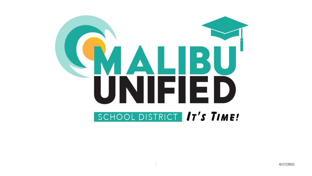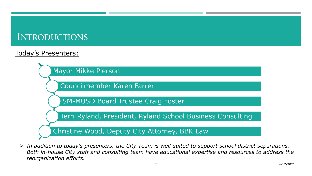# INTRODUCTIONS

### Today's Presenters:



 *In addition to today's presenters, the City Team is well-suited to support school district separations. Both in-house City staff and consulting team have educational expertise and resources to address the reorganization efforts.*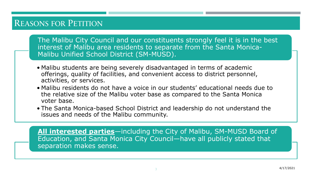## REASONS FOR PETITION

The Malibu City Council and our constituents strongly feel it is in the best interest of Malibu area residents to separate from the Santa Monica-Malibu Unified School District (SM-MUSD).

- Malibu students are being severely disadvantaged in terms of academic offerings, quality of facilities, and convenient access to district personnel, activities, or services.
- Malibu residents do not have a voice in our students' educational needs due to the relative size of the Malibu voter base as compared to the Santa Monica voter base.
- The Santa Monica-based School District and leadership do not understand the issues and needs of the Malibu community.

**All interested parties**—including the City of Malibu, SM-MUSD Board of Education, and Santa Monica City Council—have all publicly stated that separation makes sense.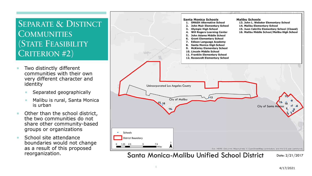## SEPARATE & DISTINCT **COMMUNITIES** (STATE FEASIBILITY CRITERION #2)

- Two distinctly different communities with their own very different character and identity
	- Separated geographically
	- Malibu is rural, Santa Monica is urban
- Other than the school district, the two communities do not share other community -based groups or organizations
- School site attendance boundaries would not change as a result of this proposed reorganization.

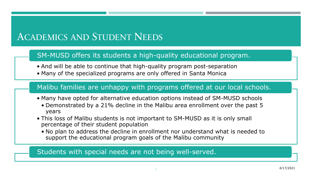# ACADEMICS AND STUDENT NEEDS

#### SM-MUSD offers its students a high-quality educational program.

- And will be able to continue that high-quality program post-separation
- Many of the specialized programs are only offered in Santa Monica

#### Malibu families are unhappy with programs offered at our local schools.

- Many have opted for alternative education options instead of SM-MUSD schools
	- Demonstrated by a 21% decline in the Malibu area enrollment over the past 5 years
- This loss of Malibu students is not important to SM-MUSD as it is only small percentage of their student population
	- No plan to address the decline in enrollment nor understand what is needed to support the educational program goals of the Malibu community

#### Students with special needs are not being well-served.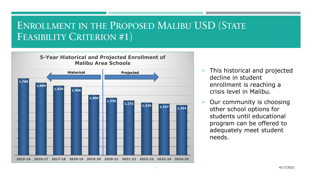# ENROLLMENT IN THE PROPOSED MALIBU USD (STATE FEASIBILITY CRITERION #1)



- This historical and projected decline in student enrollment is reaching a crisis level in Malibu.
- Our community is choosing other school options for students until educational program can be offered to adequately meet student needs.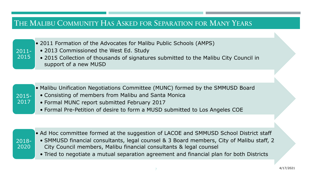## THE MALIBU COMMUNITY HAS ASKED FOR SEPARATION FOR MANY YEARS

BACKGROUND 2011 • 2011 Formation of the Advocates for Malibu Public Schools (AMPS)

- 2013 Commissioned the West Ed. Study
- 2015 Collection of thousands of signatures submitted to the Malibu City Council in support of a new MUSD
- Malibu Unification Negotiations Committee (MUNC) formed by the SMMUSD Board
- Consisting of members from Malibu and Santa Monica
- Formal MUNC report submitted February 2017
- Formal Pre-Petition of desire to form a MUSD submitted to Los Angeles COE

| $2018 -$ |
|----------|
|          |
| 2020     |
|          |

2011- 2015

2015- 2017

- Ad Hoc committee formed at the suggestion of LACOE and SMMUSD School District staff
- SMMUSD financial consultants, legal counsel & 3 Board members, City of Malibu staff, 2 City Council members, Malibu financial consultants & legal counsel
	- Tried to negotiate a mutual separation agreement and financial plan for both Districts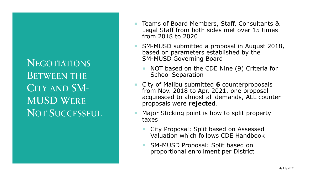**NEGOTIATIONS** BETWEEN THE CITY AND SM-MUSD WERE NOT SUCCESSFUL

- Teams of Board Members, Staff, Consultants & Legal Staff from both sides met over 15 times from 2018 to 2020
- **SM-MUSD submitted a proposal in August 2018,** based on parameters established by the SM-MUSD Governing Board
	- NOT based on the CDE Nine (9) Criteria for School Separation
- City of Malibu submitted **6** counterproposals from Nov. 2018 to Apr. 2021, one proposal acquiesced to almost all demands, ALL counter proposals were **rejected**.
- Major Sticking point is how to split property taxes
	- City Proposal: Split based on Assessed Valuation which follows CDE Handbook
	- SM-MUSD Proposal: Split based on proportional enrollment per District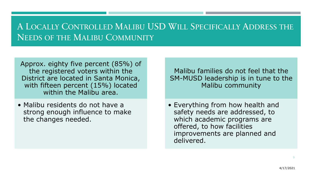# A LOCALLY CONTROLLED MALIBU USD WILL SPECIFICALLY ADDRESS THE NEEDS OF THE MALIBU COMMUNITY

Approx. eighty five percent (85%) of the registered voters within the District are located in Santa Monica, with fifteen percent (15%) located within the Malibu area.

• Malibu residents do not have a strong enough influence to make the changes needed.

Malibu families do not feel that the SM-MUSD leadership is in tune to the Malibu community

• Everything from how health and safety needs are addressed, to which academic programs are offered, to how facilities improvements are planned and delivered.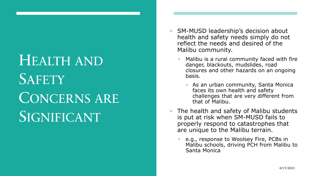# HEALTH AND **SAFETY** CONCERNS ARE SIGNIFICANT

- SM-MUSD leadership's decision about health and safety needs simply do not reflect the needs and desired of the Malibu community.
	- Malibu is a rural community faced with fire danger, blackouts, mudslides, road closures and other hazards on an ongoing basis.
		- **As an urban community, Santa Monically** faces its own health and safety challenges that are very different from that of Malibu.
- The health and safety of Malibu students is put at risk when SM-MUSD fails to properly respond to catastrophes that are unique to the Malibu terrain.
	- e.g., response to Woolsey Fire, PCBs in Malibu schools, driving PCH from Malibu to Santa Monica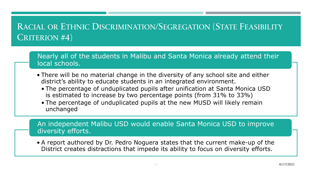# RACIAL OR ETHNIC DISCRIMINATION/SEGREGATION (STATE FEASIBILITY CRITERION #4)

Nearly all of the students in Malibu and Santa Monica already attend their local schools.

- There will be no material change in the diversity of any school site and either district's ability to educate students in an integrated environment.
	- The percentage of unduplicated pupils after unification at Santa Monica USD is estimated to increase by two percentage points (from 31% to 33%)
	- The percentage of unduplicated pupils at the new MUSD will likely remain unchanged

An independent Malibu USD would enable Santa Monica USD to improve diversity efforts.

• A report authored by Dr. Pedro Noguera states that the current make-up of the District creates distractions that impede its ability to focus on diversity efforts.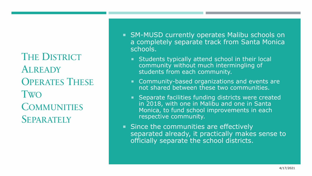THE DISTRICT ALREADY OPERATES THESE TWO **COMMUNITIES SEPARATELY** 

- SM-MUSD currently operates Malibu schools on a completely separate track from Santa Monica schools.
	- **Students typically attend school in their local** community without much intermingling of students from each community.
	- **Community-based organizations and events are** not shared between these two communities.
	- **Separate facilities funding districts were created** in 2018, with one in Malibu and one in Santa Monica, to fund school improvements in each respective community.
- Since the communities are effectively separated already, it practically makes sense to officially separate the school districts.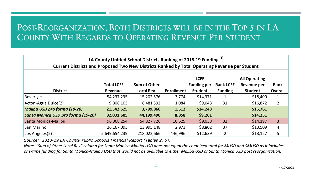## POST-REORGANIZATION, BOTH DISTRICTS WILL BE IN THE TOP 5 IN LA COUNTY WITH REGARDS TO OPERATING REVENUE PER STUDENT

| LA County Unified School Districts Ranking of 2018-19 Funding <sup>(1)</sup>                   |                   |                     |                   |                    |                  |                      |                |  |
|------------------------------------------------------------------------------------------------|-------------------|---------------------|-------------------|--------------------|------------------|----------------------|----------------|--|
| Current Districts and Proposed Two New Districts Ranked by Total Operating Revenue per Student |                   |                     |                   |                    |                  |                      |                |  |
|                                                                                                |                   |                     |                   | <b>LCFF</b>        |                  | <b>All Operating</b> |                |  |
|                                                                                                | <b>Total LCFF</b> | <b>Sum of Other</b> |                   | <b>Funding per</b> | <b>Rank LCFF</b> | Revenue per          | Rank           |  |
| <b>District</b>                                                                                | <b>Revenue</b>    | <b>Local Rev</b>    | <b>Enrollment</b> | <b>Student</b>     | <b>Funding</b>   | <b>Student</b>       | <b>Overall</b> |  |
| <b>Beverly Hills</b>                                                                           | 54,237,235        | 15,202,576          | 3,774             | \$14,371           | $\mathbf{1}$     | \$18,400             | 1              |  |
| Acton-Agua Dulce(2)                                                                            | 9,808,103         | 8,481,392           | 1,084             | \$9,048            | 31               | \$16,872             | $\overline{2}$ |  |
| <b>Malibu USD pro forma (19-20)</b>                                                            | 21,542,525        | 3,799,860           | 1,512             | \$14,248           |                  | \$16,761             |                |  |
| Santa Monica USD pro forma (19-20)                                                             | 82,031,605        | 44,199,490          | 8,858             | \$9,261            |                  | \$14,251             |                |  |
| Santa Monica-Malibu                                                                            | 96,068,254        | 54,827,726          | 10,629            | \$9,038            | 32               | \$14,197             | $\overline{3}$ |  |
| San Marino                                                                                     | 26,167,093        | 13,995,148          | 2,973             | \$8,802            | 37               | \$13,509             | 4              |  |
| Los Angeles(2)                                                                                 | 5,649,654,239     | 218,022,666         | 446,996           | \$12,639           |                  | \$13,127             | 5              |  |

*Source: 2018-19 LA County Public Schools Financial Report (Tables 2, 6).*

*Note: "Sum of Other Local Rev" column for Santa Monica-Malibu USD does not equal the combined total for MUSD and SMUSD as it includes one-time funding for Santa Monica-Malibu USD that would not be available to either Malibu USD or Santa Monica USD post reorganization.*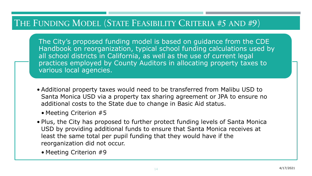## THE FUNDING MODEL (STATE FEASIBILITY CRITERIA #5 AND #9)

The The The City's proposed funding model is based on guidance from the CDE Handbook on reorganization, typical school funding calculations used by all school districts in California, as well as the use of current legal practices employed by County Auditors in allocating property taxes to various local agencies.

- Additional property taxes would need to be transferred from Malibu USD to Santa Monica USD via a property tax sharing agreement or JPA to ensure no additional costs to the State due to change in Basic Aid status.
	- Meeting Criterion #5
- Plus, the City has proposed to further protect funding levels of Santa Monica USD by providing additional funds to ensure that Santa Monica receives at least the same total per pupil funding that they would have if the reorganization did not occur.
	- Meeting Criterion #9